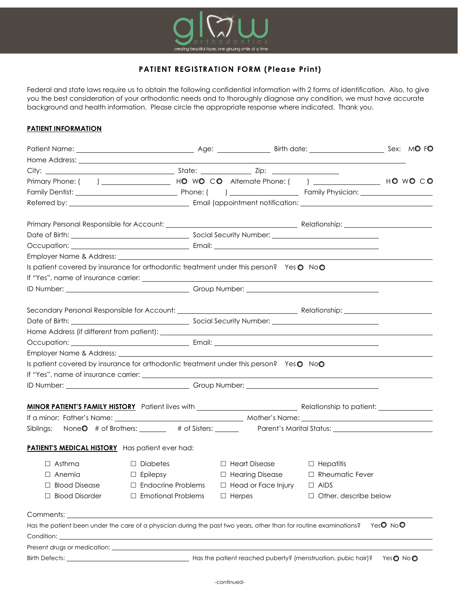

## **PATIENT REGISTRATION FORM (Please Print)**

Federal and state laws require us to obtain the following confidential information with 2 forms of identification. Also, to give you the best consideration of your orthodontic needs and to thoroughly diagnose any condition, we must have accurate background and health information. Please circle the appropriate response where indicated. Thank you.

## **PATIENT INFORMATION**

| Employer Name & Address: Name and Society and Society and Society and Society and Society and Society and Society and Society and Society and Society and Society and Society and Society and Society and Society and Society      |                           |                                                                         |                         |        |  |
|------------------------------------------------------------------------------------------------------------------------------------------------------------------------------------------------------------------------------------|---------------------------|-------------------------------------------------------------------------|-------------------------|--------|--|
| Is patient covered by insurance for orthodontic treatment under this person? Yes O NoO                                                                                                                                             |                           |                                                                         |                         |        |  |
|                                                                                                                                                                                                                                    |                           |                                                                         |                         |        |  |
|                                                                                                                                                                                                                                    |                           |                                                                         |                         |        |  |
|                                                                                                                                                                                                                                    |                           |                                                                         |                         |        |  |
|                                                                                                                                                                                                                                    |                           |                                                                         |                         |        |  |
|                                                                                                                                                                                                                                    |                           |                                                                         |                         |        |  |
|                                                                                                                                                                                                                                    |                           |                                                                         |                         |        |  |
|                                                                                                                                                                                                                                    |                           |                                                                         |                         |        |  |
| Is patient covered by insurance for orthodontic treatment under this person? Yes O NoO                                                                                                                                             |                           |                                                                         |                         |        |  |
|                                                                                                                                                                                                                                    |                           |                                                                         |                         |        |  |
|                                                                                                                                                                                                                                    |                           |                                                                         |                         |        |  |
|                                                                                                                                                                                                                                    |                           |                                                                         |                         |        |  |
|                                                                                                                                                                                                                                    |                           |                                                                         |                         |        |  |
|                                                                                                                                                                                                                                    |                           |                                                                         |                         |        |  |
| Siblings: None 0 # of Brothers: _______ # of Sisters: _______ Parent's Marital Status: ______________________                                                                                                                      |                           |                                                                         |                         |        |  |
| <b>PATIENT'S MEDICAL HISTORY</b> Has patient ever had:                                                                                                                                                                             |                           |                                                                         |                         |        |  |
| $\Box$ Asthma                                                                                                                                                                                                                      | $\Box$ Diabetes           | $\Box$ Heart Disease                                                    | $\Box$ Hepatitis        |        |  |
| $\Box$ Anemia                                                                                                                                                                                                                      | $\Box$ Epilepsy           | $\Box$ Hearing Disease                                                  | $\Box$ Rheumatic Fever  |        |  |
| $\Box$ Blood Disease                                                                                                                                                                                                               | $\Box$ Endocrine Problems | □ Head or Face Injury                                                   | $\Box$ AIDS             |        |  |
| □ Blood Disorder                                                                                                                                                                                                                   | □ Emotional Problems      | $\Box$ Herpes                                                           | □ Other, describe below |        |  |
| Comments: <u>comments:</u> comments: comments: comments: comments: comments: comments: comments: comments: comments: comments: comments: comments: comments: comments: comments: comments: comments: comments: comments: comments: |                           |                                                                         |                         |        |  |
| Has the patient been under the care of a physician during the past two years, other than for routine examinations?                                                                                                                 |                           |                                                                         |                         | YesONO |  |
|                                                                                                                                                                                                                                    |                           |                                                                         |                         |        |  |
|                                                                                                                                                                                                                                    |                           |                                                                         |                         |        |  |
|                                                                                                                                                                                                                                    |                           | Has the patient reached puberty? (menstruation, pubic hair)? Yes @ No @ |                         |        |  |